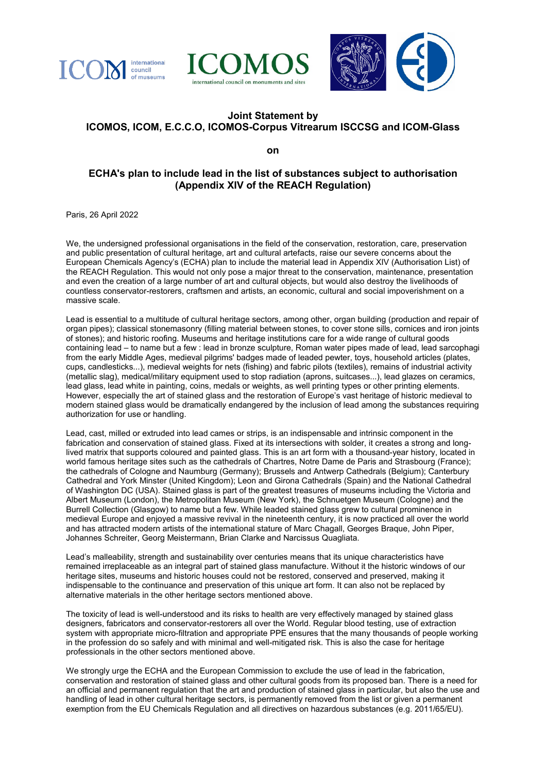





## **Joint Statement by ICOMOS, ICOM, E.C.C.O, ICOMOS-Corpus Vitrearum ISCCSG and ICOM-Glass**

**on**

## **ECHA's plan to include lead in the list of substances subject to authorisation (Appendix XIV of the REACH Regulation)**

Paris, 26 April 2022

We, the undersigned professional organisations in the field of the conservation, restoration, care, preservation and public presentation of cultural heritage, art and cultural artefacts, raise our severe concerns about the European Chemicals Agency's (ECHA) plan to include the material lead in Appendix XIV (Authorisation List) of the REACH Regulation. This would not only pose a major threat to the conservation, maintenance, presentation and even the creation of a large number of art and cultural objects, but would also destroy the livelihoods of countless conservator-restorers, craftsmen and artists, an economic, cultural and social impoverishment on a massive scale.

Lead is essential to a multitude of cultural heritage sectors, among other, organ building (production and repair of organ pipes); classical stonemasonry (filling material between stones, to cover stone sills, cornices and iron joints of stones); and historic roofing. Museums and heritage institutions care for a wide range of cultural goods containing lead – to name but a few : lead in bronze sculpture, Roman water pipes made of lead, lead sarcophagi from the early Middle Ages, medieval pilgrims' badges made of leaded pewter, toys, household articles (plates, cups, candlesticks...), medieval weights for nets (fishing) and fabric pilots (textiles), remains of industrial activity (metallic slag), medical/military equipment used to stop radiation (aprons, suitcases...), lead glazes on ceramics, lead glass, lead white in painting, coins, medals or weights, as well printing types or other printing elements. However, especially the art of stained glass and the restoration of Europe's vast heritage of historic medieval to modern stained glass would be dramatically endangered by the inclusion of lead among the substances requiring authorization for use or handling.

Lead, cast, milled or extruded into lead cames or strips, is an indispensable and intrinsic component in the fabrication and conservation of stained glass. Fixed at its intersections with solder, it creates a strong and longlived matrix that supports coloured and painted glass. This is an art form with a thousand-year history, located in world famous heritage sites such as the cathedrals of Chartres, Notre Dame de Paris and Strasbourg (France); the cathedrals of Cologne and Naumburg (Germany); Brussels and Antwerp Cathedrals (Belgium); Canterbury Cathedral and York Minster (United Kingdom); Leon and Girona Cathedrals (Spain) and the National Cathedral of Washington DC (USA). Stained glass is part of the greatest treasures of museums including the Victoria and Albert Museum (London), the Metropolitan Museum (New York), the Schnuetgen Museum (Cologne) and the Burrell Collection (Glasgow) to name but a few. While leaded stained glass grew to cultural prominence in medieval Europe and enjoyed a massive revival in the nineteenth century, it is now practiced all over the world and has attracted modern artists of the international stature of Marc Chagall, Georges Braque, John Piper, Johannes Schreiter, Georg Meistermann, Brian Clarke and Narcissus Quagliata.

Lead's malleability, strength and sustainability over centuries means that its unique characteristics have remained irreplaceable as an integral part of stained glass manufacture. Without it the historic windows of our heritage sites, museums and historic houses could not be restored, conserved and preserved, making it indispensable to the continuance and preservation of this unique art form. It can also not be replaced by alternative materials in the other heritage sectors mentioned above.

The toxicity of lead is well-understood and its risks to health are very effectively managed by stained glass designers, fabricators and conservator-restorers all over the World. Regular blood testing, use of extraction system with appropriate micro-filtration and appropriate PPE ensures that the many thousands of people working in the profession do so safely and with minimal and well-mitigated risk. This is also the case for heritage professionals in the other sectors mentioned above.

We strongly urge the ECHA and the European Commission to exclude the use of lead in the fabrication, conservation and restoration of stained glass and other cultural goods from its proposed ban. There is a need for an official and permanent regulation that the art and production of stained glass in particular, but also the use and handling of lead in other cultural heritage sectors, is permanently removed from the list or given a permanent exemption from the EU Chemicals Regulation and all directives on hazardous substances (e.g. 2011/65/EU).